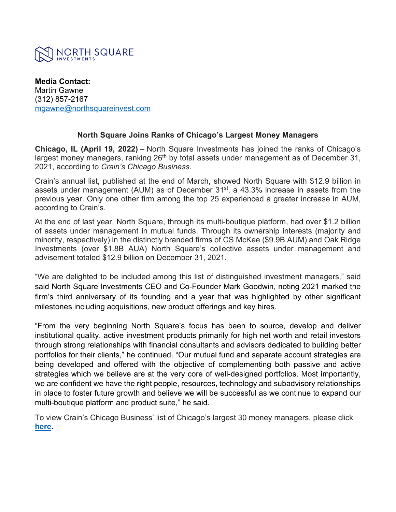

**Media Contact:** Martin Gawne (312) 857-2167 [mgawne@northsquareinvest.com](mailto:mgawne@northsquareinvest.com)

## **North Square Joins Ranks of Chicago's Largest Money Managers**

**Chicago, IL (April 19, 2022)** – North Square Investments has joined the ranks of Chicago's largest money managers, ranking  $26<sup>th</sup>$  by total assets under management as of December 31, 2021, according to *Crain's Chicago Business*.

Crain's annual list, published at the end of March, showed North Square with \$12.9 billion in assets under management (AUM) as of December  $31<sup>st</sup>$ , a 43.3% increase in assets from the previous year. Only one other firm among the top 25 experienced a greater increase in AUM, according to Crain's.

At the end of last year, North Square, through its multi-boutique platform, had over \$1.2 billion of assets under management in mutual funds. Through its ownership interests (majority and minority, respectively) in the distinctly branded firms of CS McKee (\$9.9B AUM) and Oak Ridge Investments (over \$1.8B AUA) North Square's collective assets under management and advisement totaled \$12.9 billion on December 31, 2021.

"We are delighted to be included among this list of distinguished investment managers," said said North Square Investments CEO and Co-Founder Mark Goodwin, noting 2021 marked the firm's third anniversary of its founding and a year that was highlighted by other significant milestones including acquisitions, new product offerings and key hires.

"From the very beginning North Square's focus has been to source, develop and deliver institutional quality, active investment products primarily for high net worth and retail investors through strong relationships with financial consultants and advisors dedicated to building better portfolios for their clients," he continued. "Our mutual fund and separate account strategies are being developed and offered with the objective of complementing both passive and active strategies which we believe are at the very core of well-designed portfolios. Most importantly, we are confident we have the right people, resources, technology and subadvisory relationships in place to foster future growth and believe we will be successful as we continue to expand our multi-boutique platform and product suite," he said.

To view Crain's Chicago Business' list of Chicago's largest 30 money managers, please click **[here.](http://northsquareinvest.com/wp-content/uploads/2022/04/Crains-Chicago-Business-Largest-Money-Managers-2021.pdf)**